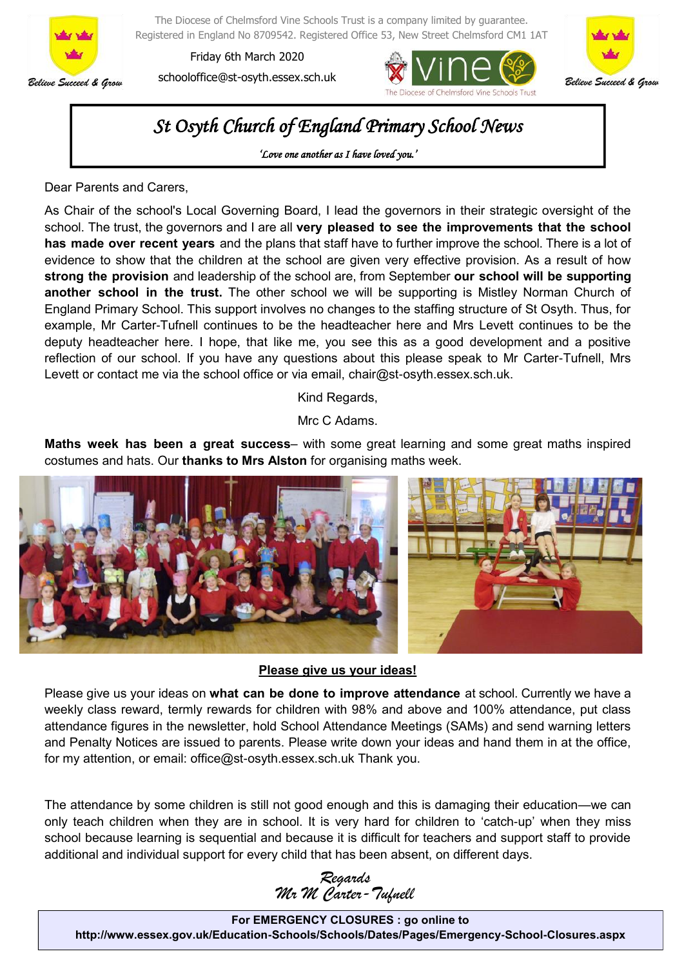

The Diocese of Chelmsford Vine Schools Trust is a company limited by guarantee. Registered in England No 8709542. Registered Office 53, New Street Chelmsford CM1 1AT

Friday 6th March 2020 schooloffice@st-osyth.essex.sch.uk





# *St Osyth Church of England Primary School News*

*'Love one another as I have loved you.'* 

Dear Parents and Carers,

As Chair of the school's Local Governing Board, I lead the governors in their strategic oversight of the school. The trust, the governors and I are all **very pleased to see the improvements that the school has made over recent years** and the plans that staff have to further improve the school. There is a lot of evidence to show that the children at the school are given very effective provision. As a result of how **strong the provision** and leadership of the school are, from September **our school will be supporting another school in the trust.** The other school we will be supporting is Mistley Norman Church of England Primary School. This support involves no changes to the staffing structure of St Osyth. Thus, for example, Mr Carter-Tufnell continues to be the headteacher here and Mrs Levett continues to be the deputy headteacher here. I hope, that like me, you see this as a good development and a positive reflection of our school. If you have any questions about this please speak to Mr Carter-Tufnell, Mrs Levett or contact me via the school office or via email, chair@st-osyth.essex.sch.uk.

Kind Regards,

Mrc C Adams.

**Maths week has been a great success**– with some great learning and some great maths inspired costumes and hats. Our **thanks to Mrs Alston** for organising maths week.



#### **Please give us your ideas!**

Please give us your ideas on **what can be done to improve attendance** at school. Currently we have a weekly class reward, termly rewards for children with 98% and above and 100% attendance, put class attendance figures in the newsletter, hold School Attendance Meetings (SAMs) and send warning letters and Penalty Notices are issued to parents. Please write down your ideas and hand them in at the office, for my attention, or email: office@st-osyth.essex.sch.uk Thank you.

The attendance by some children is still not good enough and this is damaging their education—we can only teach children when they are in school. It is very hard for children to 'catch-up' when they miss school because learning is sequential and because it is difficult for teachers and support staff to provide additional and individual support for every child that has been absent, on different days.

*Regards Mr M Carter-Tufnell*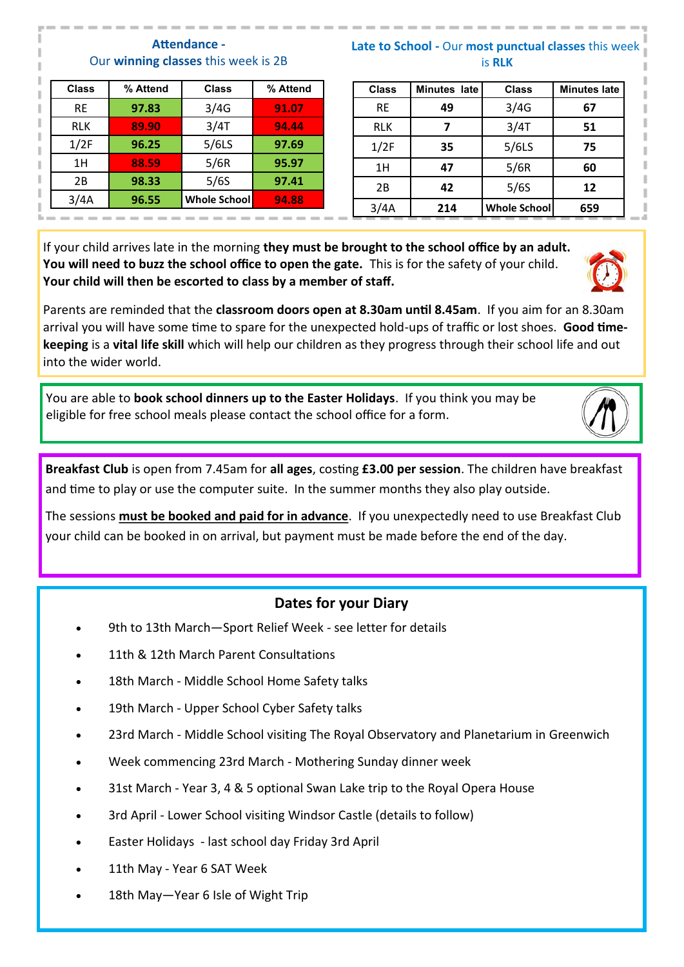#### **Attendance -** Our **winning classes** this week is 2B

| <b>Class</b> | % Attend | <b>Class</b>        | % Attend |
|--------------|----------|---------------------|----------|
| <b>RE</b>    | 97.83    | 3/4G                | 91.07    |
| <b>RLK</b>   | 89.90    | 3/4T                | 94.44    |
| 1/2F         | 96.25    | $5/6$ LS            | 97.69    |
| 1H           | 88.59    | 5/6R                | 95.97    |
| 2B           | 98.33    | 5/6S                | 97.41    |
| 3/4A         | 96.55    | <b>Whole School</b> | 94.88    |
|              |          |                     |          |

#### **Late to School -** Our **most punctual classes** this week is **RLK**

| <b>Class</b> | Minutes late | <b>Class</b> | <b>Minutes late</b> |
|--------------|--------------|--------------|---------------------|
| <b>RE</b>    | 49           | 3/4G         | 67                  |
| <b>RLK</b>   | 7            | 3/4T         | 51                  |
| 1/2F         | 35           | 5/6LS        | 75                  |
| 1H           | 47           | 5/6R         | 60                  |
| 2B           | 42           | 5/6S         | 12                  |
| 3/4A         | 214          | Whole School | 659                 |

If your child arrives late in the morning **they must be brought to the school office by an adult. You will need to buzz the school office to open the gate.** This is for the safety of your child. **Your child will then be escorted to class by a member of staff.** 

Parents are reminded that the **classroom doors open at 8.30am until 8.45am**. If you aim for an 8.30am arrival you will have some time to spare for the unexpected hold-ups of traffic or lost shoes. **Good timekeeping** is a **vital life skill** which will help our children as they progress through their school life and out into the wider world.

You are able to **book school dinners up to the Easter Holidays**. If you think you may be eligible for free school meals please contact the school office for a form.

**Breakfast Club** is open from 7.45am for **all ages**, costing **£3.00 per session**. The children have breakfast and time to play or use the computer suite. In the summer months they also play outside.

The sessions **must be booked and paid for in advance**. If you unexpectedly need to use Breakfast Club your child can be booked in on arrival, but payment must be made before the end of the day.

### **Dates for your Diary**

- 9th to 13th March—Sport Relief Week see letter for details
- 11th & 12th March Parent Consultations
- 18th March Middle School Home Safety talks
- 19th March Upper School Cyber Safety talks
- 23rd March Middle School visiting The Royal Observatory and Planetarium in Greenwich
- Week commencing 23rd March Mothering Sunday dinner week
- 31st March Year 3, 4 & 5 optional Swan Lake trip to the Royal Opera House
- 3rd April Lower School visiting Windsor Castle (details to follow)
- Easter Holidays last school day Friday 3rd April
- 11th May Year 6 SAT Week
- 18th May-Year 6 Isle of Wight Trip